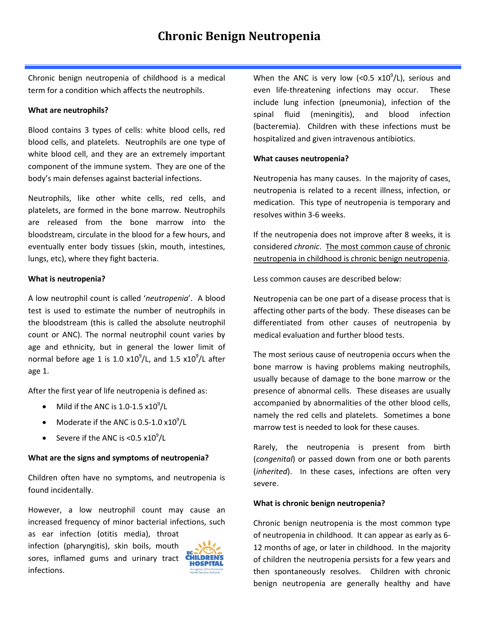Chronic benign neutropenia of childhood is a medical term for a condition which affects the neutrophils.

### **What are neutrophils?**

Blood contains 3 types of cells: white blood cells, red blood cells, and platelets. Neutrophils are one type of white blood cell, and they are an extremely important component of the immune system. They are one of the body's main defenses against bacterial infections.

Neutrophils, like other white cells, red cells, and platelets, are formed in the bone marrow. Neutrophils are released from the bone marrow into the bloodstream, circulate in the blood for a few hours, and eventually enter body tissues (skin, mouth, intestines, lungs, etc), where they fight bacteria.

### **What is neutropenia?**

A low neutrophil count is called '*neutropenia*'. A blood test is used to estimate the number of neutrophils in the bloodstream (this is called the absolute neutrophil count or ANC). The normal neutrophil count varies by age and ethnicity, but in general the lower limit of normal before age 1 is 1.0  $x10^9$ /L, and 1.5  $x10^9$ /L after age 1.

After the first year of life neutropenia is defined as:

- Mild if the ANC is  $1.0-1.5 \times 10^9 / L$
- Moderate if the ANC is 0.5-1.0  $\times 10^9$ /L
- Severe if the ANC is <0.5  $\times10^9$ /L

# **What are the signs and symptoms of neutropenia?**

Children often have no symptoms, and neutropenia is found incidentally.

However, a low neutrophil count may cause an increased frequency of minor bacterial infections, such

as ear infection (otitis media), throat infection (pharyngitis), skin boils, mouth sores, inflamed gums and urinary tract infections.



When the ANC is very low (<0.5  $x10^9$ /L), serious and even life-threatening infections may occur. These include lung infection (pneumonia), infection of the spinal fluid (meningitis), and blood infection (bacteremia). Children with these infections must be hospitalized and given intravenous antibiotics.

### **What causes neutropenia?**

Neutropenia has many causes. In the majority of cases, neutropenia is related to a recent illness, infection, or medication. This type of neutropenia is temporary and resolves within 3-6 weeks.

If the neutropenia does not improve after 8 weeks, it is considered *chronic*. The most common cause of chronic neutropenia in childhood is chronic benign neutropenia.

Less common causes are described below:

Neutropenia can be one part of a disease process that is affecting other parts of the body. These diseases can be differentiated from other causes of neutropenia by medical evaluation and further blood tests.

The most serious cause of neutropenia occurs when the bone marrow is having problems making neutrophils, usually because of damage to the bone marrow or the presence of abnormal cells. These diseases are usually accompanied by abnormalities of the other blood cells, namely the red cells and platelets. Sometimes a bone marrow test is needed to look for these causes.

Rarely, the neutropenia is present from birth (*congenital*) or passed down from one or both parents (*inherited*). In these cases, infections are often very severe.

# **What is chronic benign neutropenia?**

Chronic benign neutropenia is the most common type of neutropenia in childhood. It can appear as early as 6- 12 months of age, or later in childhood. In the majority of children the neutropenia persists for a few years and then spontaneously resolves. Children with chronic benign neutropenia are generally healthy and have